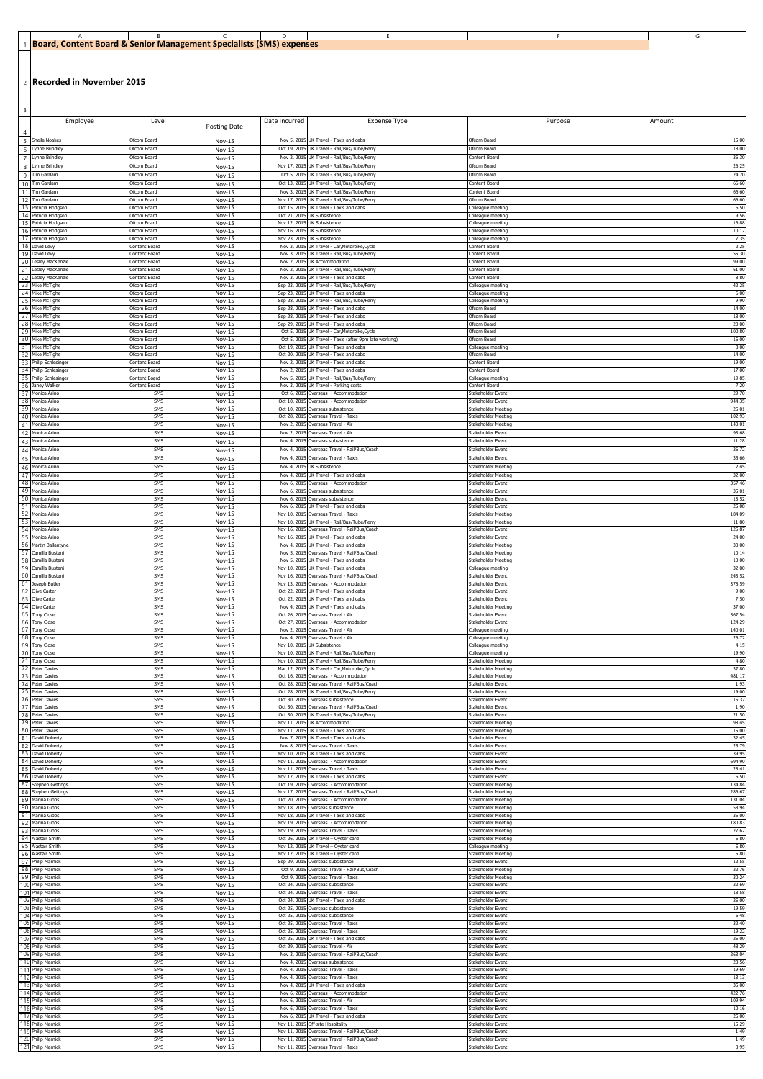| . Content Board &<br><b>IBoard.</b> | Senior Management Specialists ، | $-$ icancy<br>(SMS) expenses |  |  |
|-------------------------------------|---------------------------------|------------------------------|--|--|

2 **Recorded in November 2015**

| $\overline{\mathbf{3}}$<br>Employee                  | Level                          |                                | Date Incurred                                              | Expense Type                                                                                            | Purpose                                    | Amount           |
|------------------------------------------------------|--------------------------------|--------------------------------|------------------------------------------------------------|---------------------------------------------------------------------------------------------------------|--------------------------------------------|------------------|
|                                                      |                                | Posting Date                   |                                                            |                                                                                                         |                                            |                  |
| Sheila Noakes<br>5<br>Lynne Brindley<br>6            | Ofcom Board<br>Ofcom Board     | Nov-15<br>Nov-15               |                                                            | Nov 5, 2015 UK Travel - Taxis and cabs<br>Oct 19, 2015 UK Travel - Rail/Bus/Tube/Ferry                  | Ofcom Board<br>Ofcom Board                 | 15.00<br>18.00   |
| $\overline{7}$<br>Lynne Brindley                     | Ofcom Board                    | Nov-15                         |                                                            | Nov 2, 2015 UK Travel - Rail/Bus/Tube/Ferry                                                             | Content Board                              | 36.30            |
| Lynne Brindley<br>8<br>Tim Gardam<br>q               | Ofcom Board<br>Ofcom Board     | Nov-15<br><b>Nov-15</b>        |                                                            | Nov 17, 2015 UK Travel - Rail/Bus/Tube/Ferry<br>Oct 5, 2015 UK Travel - Rail/Bus/Tube/Ferry             | Ofcom Board<br>Ofcom Board                 | 26.25<br>24.70   |
| Tim Gardam<br>10<br>Tim Gardam                       | Ofcom Board<br>Ofcom Board     | Nov-15<br><b>Nov-15</b>        |                                                            | Oct 13, 2015 UK Travel - Rail/Bus/Tube/Ferry<br>Nov 3, 2015 UK Travel - Rail/Bus/Tube/Ferry             | Content Board<br>Content Board             | 66.60<br>66.60   |
| 12<br>Tim Gardam                                     | Ofcom Board                    | <b>Nov-15</b>                  |                                                            | Nov 17, 2015 UK Travel - Rail/Bus/Tube/Ferry                                                            | Ofcom Board                                | 66.60            |
| 13<br>Patricia Hodgson<br>14 Patricia Hodgson        | Ofcom Board<br>Ofcom Board     | Nov-15<br><b>Nov-15</b>        | Oct 15, 2015<br>Oct 21, 2015                               | UK Travel - Taxis and cabs<br>UK Subsistence                                                            | Colleague meeting<br>Colleague meeting     | 6.50<br>9.56     |
| 15 Patricia Hodgson<br>16 Patricia Hodgson           | Ofcom Board<br>Ofcom Board     | Nov-15<br><b>Nov-15</b>        | Nov 12, 2015 UK Subsistence<br>Nov 16, 2015 UK Subsistence |                                                                                                         | Colleague meeting<br>Colleague meeting     | 16.88<br>10.1    |
| 17 Patricia Hodgson<br>18 David Levy                 | Ofcom Board<br>Content Board   | <b>Nov-15</b><br>Nov-15        | Nov 23, 2015 UK Subsistence                                | Nov 3, 2015 UK Travel - Car, Motorbike, Cycle                                                           | Colleague meeting<br>Content Board         | 7.35<br>2.25     |
| 19 David Levy                                        | Content Board                  | <b>Nov-15</b>                  |                                                            | Nov 3, 2015 UK Travel - Rail/Bus/Tube/Ferry                                                             | Content Board                              | 55.30            |
| 20 Lesley MacKenzie<br>21<br>Lesley MacKenzie        | Content Board<br>Content Board | $Nov-15$<br><b>Nov-15</b>      | Nov 2, 2015<br>Nov 2, 2015                                 | UK Accommodation<br>UK Travel - Rail/Bus/Tube/Ferry                                                     | Content Board<br>Content Board             | 99.00<br>61.00   |
| 22 I<br>Lesley MacKenzie<br>23 Mike McTighe          | Content Board<br>Ofcom Board   | Nov-15<br><b>Nov-15</b>        |                                                            | Nov 3, 2015 UK Travel - Taxis and cabs<br>Sep 23, 2015 UK Travel - Rail/Bus/Tube/Ferry                  | Content Board<br>Colleague meeting         | 8.80<br>42.25    |
| 24 Mike McTighe<br>25 Mike McTighe                   | Ofcom Board<br>Ofcom Board     | Nov-15<br><b>Nov-15</b>        |                                                            | Sep 23, 2015 UK Travel - Taxis and cabs<br>Sep 28, 2015 UK Travel - Rail/Bus/Tube/Ferry                 | Colleague meeting                          | 6.00<br>9.90     |
| 26 Mike McTighe                                      | Ofcom Board                    | <b>Nov-15</b>                  | Sep 28, 2015                                               | UK Travel - Taxis and cabs                                                                              | Colleague meeting<br>Ofcom Board           | 14.00            |
| 27<br>Mike McTighe<br>28 Mike McTighe                | Ofcom Board<br>Ofcom Board     | Nov-15<br><b>Nov-15</b>        | Sep 28, 2015                                               | UK Travel - Taxis and cabs<br>Sep 29, 2015 UK Travel - Taxis and cabs                                   | Ofcom Board<br>Ofcom Board                 | 18.00<br>20.00   |
| 29 Mike McTighe<br>30 Mike McTighe                   | Ofcom Board<br>Ofcom Board     | <b>Nov-15</b><br>Nov-15        |                                                            | Oct 5, 2015 UK Travel - Car, Motorbike, Cycle<br>Oct 5, 2015 UK Travel - Taxis (after 9pm late working) | Ofcom Board<br>Ofcom Board                 | 100.80<br>16.00  |
| 31<br>Mike McTighe<br>32 Mike McTighe                | Ofcom Board<br>Ofcom Board     | <b>Nov-15</b><br>$Nov-15$      |                                                            | Oct 19, 2015 UK Travel - Taxis and cabs<br>Oct 20, 2015 UK Travel - Taxis and cabs                      | Colleague meeting<br>Ofcom Board           | 8.00<br>14.00    |
| 33 Philip Schlesinger                                | Content Board                  | <b>Nov-15</b>                  | Nov 2, 2015                                                | UK Travel - Taxis and cabs                                                                              | Content Board                              | 19.00            |
| 34 Philip Schlesinger<br>35 Philip Schlesinger       | Content Board<br>Content Board | <b>Nov-15</b><br><b>Nov-15</b> | Nov 2, 2015                                                | UK Travel - Taxis and cabs<br>Nov 5, 2015 UK Travel - Rail/Bus/Tube/Ferry                               | Content Board<br>Colleague meeting         | 17.00<br>19.85   |
| 36 Janey Walker<br>37<br>Monica Arino                | Content Board<br>SMS           | Nov-15<br><b>Nov-15</b>        |                                                            | Nov 3, 2015 UK Travel - Parking costs<br>Oct 6, 2015 Overseas - Accommodation                           | Content Board<br>Stakeholder Event         | 7.20<br>29.70    |
| 38<br>Monica Arino<br>39<br>Monica Arino             | SMS<br>SMS                     | $Nov-15$<br><b>Nov-15</b>      |                                                            | Oct 10, 2015 Overseas - Accommodation<br>Oct 10, 2015 Overseas subsistence                              | Stakeholder Event<br>Stakeholder Meeting   | 944.35<br>25.0   |
| 40 Monica Arino                                      | SMS                            | <b>Nov-15</b>                  | Oct 28, 2015                                               | Overseas Travel - Taxis                                                                                 | Stakeholder Meeting                        | 102.9            |
| 41<br>Monica Arino<br>42<br>Monica Arino             | SMS<br>SMS                     | <b>Nov-15</b><br><b>Nov-15</b> |                                                            | Nov 2, 2015 Overseas Travel - Air<br>Nov 2, 2015 Overseas Travel - Air                                  | Stakeholder Meeting<br>Stakeholder Event   | 140.01<br>93.68  |
| 43<br>Monica Arino<br>44<br>Monica Arino             | SMS<br>SMS                     | Nov-15                         |                                                            | Nov 4, 2015 Overseas subsistence<br>Nov 4, 2015 Overseas Travel - Rail/Bus/Coach                        | Stakeholder Event<br>Stakeholder Event     | 11.28<br>26.72   |
| Monica Arino<br>45                                   | SMS                            | Nov-15<br>Nov-15               |                                                            | Nov 4, 2015 Overseas Travel - Taxis                                                                     | Stakeholder Event                          | 35.66            |
| Monica Arino<br>46<br>47<br>Monica Arino             | SMS<br>SMS                     | Nov-15<br>Nov-15               |                                                            | Nov 4, 2015 UK Subsistence<br>Nov 4, 2015 UK Travel - Taxis and cabs                                    | Stakeholder Meeting<br>Stakeholder Meeting | 2.45<br>32.00    |
| 48 Monica Arino<br>49                                | SMS<br>SMS                     | <b>Nov-15</b><br>Nov-15        |                                                            | Nov 6, 2015 Overseas - Accommodation                                                                    | Stakeholder Event                          | 357.46<br>35.01  |
| Monica Arino<br>50<br>Monica Arino                   | SMS                            | <b>Nov-15</b>                  |                                                            | Nov 6, 2015 Overseas subsistence<br>Nov 6, 2015 Overseas subsistence                                    | Stakeholder Event<br>Stakeholder Eveni     | 13.52            |
| 51<br>Monica Arino<br>52 Monica Arino                | SMS<br>SMS                     | <b>Nov-15</b><br>Nov-15        |                                                            | Nov 6, 2015 UK Travel - Taxis and cabs<br>Nov 10, 2015 Overseas Travel - Taxis                          | Stakeholder Event<br>Stakeholder Meeting   | 25.08<br>184.09  |
| 53 Monica Arino<br>54 Monica Arino                   | SMS<br>SMS                     | Nov-15<br><b>Nov-15</b>        |                                                            | Nov 10, 2015 UK Travel - Rail/Bus/Tube/Ferry<br>Nov 16, 2015 Overseas Travel - Rail/Bus/Coach           | Stakeholder Meeting<br>Stakeholder Event   | 11.80<br>125.87  |
| 55 Monica Arino<br>56<br>Martin Ballantyne           | SMS<br>SMS                     | <b>Nov-15</b><br><b>Nov-15</b> |                                                            | Nov 16, 2015 UK Travel - Taxis and cabs<br>Nov 4, 2015 UK Travel - Taxis and cabs                       | Stakeholder Event<br>Stakeholder Meeting   | 24.00<br>30.00   |
| 57 Camilla Bustani                                   | SMS                            | <b>Nov-15</b>                  |                                                            | Nov 5, 2015 Overseas Travel - Rail/Bus/Coach                                                            | Stakeholder Meeting                        | 10.14            |
| 58 Camilla Bustani<br>59 Camilla Bustani             | SMS<br>SMS                     | <b>Nov-15</b><br>Nov-15        |                                                            | Nov 5, 2015 UK Travel - Taxis and cabs<br>Nov 10, 2015 UK Travel - Taxis and cabs                       | Stakeholder Meeting<br>Colleague meeting   | 10.00<br>32.00   |
| 60 Camilla Bustani<br>61<br>Joseph Butler            | SMS<br>SMS                     | <b>Nov-15</b><br><b>Nov-15</b> |                                                            | Nov 16, 2015 Overseas Travel - Rail/Bus/Coach<br>Nov 13, 2015 Overseas - Accommodation                  | Stakeholder Event<br>Stakeholder Event     | 243.52<br>378.59 |
| 62 Clive Carter<br>63 Clive Carter                   | SMS<br>SMS                     | Nov-15<br><b>Nov-15</b>        |                                                            | Oct 22, 2015 UK Travel - Taxis and cabs<br>Oct 22, 2015 UK Travel - Taxis and cabs                      | Stakeholder Event<br>Stakeholder Event     | 9.00<br>7.50     |
| 64 Clive Carter                                      | SMS                            | <b>Nov-15</b>                  |                                                            | Nov 4, 2015 UK Travel - Taxis and cabs                                                                  | Stakeholder Meeting                        | 37.00            |
| 65<br><b>Tony Close</b><br>66 Tony Close             | SMS<br>SMS                     | Nov-15<br><b>Nov-15</b>        |                                                            | Oct 26, 2015 Overseas Travel - Air<br>Oct 27, 2015 Overseas - Accommodation                             | Stakeholder Event<br>Stakeholder Event     | 567.54<br>124.29 |
| 67 Tony Close<br>68<br><b>Tony Close</b>             | SMS<br>SMS                     | <b>Nov-15</b><br><b>Nov-15</b> |                                                            | Nov 2, 2015 Overseas Travel - Air<br>Nov 4, 2015 Overseas Travel - Air                                  | Colleague meeting<br>Colleague meeting     | 140.01<br>26.72  |
| 69 Tony Close<br>70 Tony Close                       | SMS<br>SMS                     | Nov-15<br>Nov-15               | Nov 10, 2015 UK Subsistence                                | Nov 10, 2015 UK Travel - Rail/Bus/Tube/Ferry                                                            | Colleague meeting<br>Colleague meeting     | 4.15<br>19.90    |
| 71 Tony Close<br>72 Peter Davies                     | SMS<br>SMS                     | Nov-15<br>Nov-15               |                                                            | Nov 10, 2015 UK Travel - Rail/Bus/Tube/Ferry<br>Mar 12, 2015 UK Travel - Car, Motorbike, Cycle          | Stakeholder Meeting<br>Stakeholder Meeting | 4.80<br>37.80    |
| 73 Peter Davies                                      | SMS                            | Nov-15                         |                                                            | Oct 16, 2015 Overseas - Accommodation                                                                   | Stakeholder Meeting                        | 481.17           |
| 74 Peter Davies<br>75 Peter Davies                   | SMS<br>SMS                     | <b>Nov-15</b><br>Nov-15        |                                                            | Oct 28, 2015 Overseas Travel - Rail/Bus/Coach<br>Oct 28, 2015 UK Travel - Rail/Bus/Tube/Ferry           | Stakeholder Event<br>Stakeholder Event     | 1.93<br>19.00    |
| 76 Peter Davies<br>77<br>Peter Davies                | SMS<br>SMS                     | Nov-15<br>Nov-15               |                                                            | Oct 30, 2015 Overseas subsistence<br>Oct 30, 2015 Overseas Travel - Rail/Bus/Coach                      | Stakeholder Event<br>Stakeholder Event     | 15.37<br>1.90    |
| 78 Peter Davies<br>79 Peter Davies                   | SMS<br>SMS                     | Nov-15<br>Nov-15               |                                                            | Oct 30, 2015 UK Travel - Rail/Bus/Tube/Ferry<br>Nov 11, 2015 UK Accommodation                           | Stakeholder Event<br>Stakeholder Meeting   | 21.50<br>98.45   |
| 80 Peter Davies                                      | SMS                            | Nov-15                         |                                                            | Nov 11, 2015 UK Travel - Taxis and cabs                                                                 | Stakeholder Meeting                        | 15.00            |
| 81<br>David Doherty<br>David Doherty<br>82           | SMS<br>SMS                     | <b>Nov-15</b><br>Nov-15        |                                                            | Nov 7, 2015 UK Travel - Taxis and cabs<br>Nov 8, 2015 Overseas Travel - Taxis                           | Stakeholder Event<br>Stakeholder Event     | 32.45<br>25.79   |
| 83 David Doherty<br>84<br>David Doherty              | SMS<br>SMS                     | Nov-15<br>Nov-15               |                                                            | Nov 10, 2015 UK Travel - Taxis and cabs<br>Nov 11, 2015 Overseas - Accommodation                        | Stakeholder Event<br>Stakeholder Event     | 39.95<br>694.90  |
| 85 David Doherty<br>86 David Doherty                 | SMS<br>SMS                     | Nov-15<br>Nov-15               |                                                            | Nov 11, 2015 Overseas Travel - Taxis<br>Nov 17, 2015 UK Travel - Taxis and cabs                         | Stakeholder Event<br>Stakeholder Event     | 28.41<br>6.50    |
| 87<br><b>Stephen Gettings</b><br>88 Stephen Gettings | SMS<br>SMS                     | Nov-15<br>Nov-15               |                                                            | Oct 19, 2015 Overseas - Accommodation<br>Nov 17, 2015 Overseas Travel - Rail/Bus/Coach                  | Stakeholder Meeting<br>Stakeholder Meeting | 134.84<br>286.67 |
| 89<br>Marina Gibbs                                   | SMS                            | Nov-15                         |                                                            | Oct 20, 2015 Overseas - Accommodation                                                                   | Stakeholder Meeting                        | 131.04           |
| 90 Marina Gibbs<br>91<br>Marina Gibbs                | SMS<br>SMS                     | Nov-15<br>Nov-15               |                                                            | Nov 18, 2015 Overseas subsistence<br>Nov 18, 2015 UK Travel - Taxis and cabs                            | Stakeholder Meeting<br>Stakeholder Meeting | 58.94<br>35.00   |
| 92<br>Marina Gibbs<br>-93<br>Marina Gibbs            | SMS<br>SMS                     | <b>Nov-15</b><br><b>Nov-15</b> |                                                            | Nov 19, 2015 Overseas - Accommodation<br>Nov 19, 2015 Overseas Travel - Taxis                           | Stakeholder Meeting<br>Stakeholder Meeting | 180.83<br>27.62  |
| 94<br>Alastair Smith<br>95<br>Alastair Smith         | SMS<br>SMS                     | <b>Nov-15</b><br><b>Nov-15</b> |                                                            | Oct 26, 2015 UK Travel - Oyster card<br>Nov 12, 2015 UK Travel - Oyster card                            | Stakeholder Meeting<br>Colleague meeting   | 5.80<br>5.80     |
| 96 Alastair Smith                                    | SMS                            | Nov-15                         |                                                            | Nov 12, 2015 UK Travel - Oyster card                                                                    | Stakeholder Meeting                        | 5.80             |
| 97 Philip Marnick<br>98 Philip Marnick               | SMS<br>SMS                     | <b>Nov-15</b><br><b>Nov-15</b> |                                                            | Sep 29, 2015 Overseas subsistence<br>Oct 9, 2015 Overseas Travel - Rail/Bus/Coach                       | Stakeholder Event<br>Stakeholder Meeting   | 12.55<br>22.76   |
| 99 Philip Marnick<br>100 Philip Marnick              | SMS<br>SMS                     | <b>Nov-15</b><br><b>Nov-15</b> |                                                            | Oct 9, 2015 Overseas Travel - Taxis<br>Oct 24, 2015 Overseas subsistence                                | Stakeholder Meeting<br>Stakeholder Event   | 30.24<br>22.69   |
| 101 Philip Marnick<br>102 Philip Marnick             | SMS<br>SMS                     | <b>Nov-15</b><br><b>Nov-15</b> |                                                            | Oct 24, 2015 Overseas Travel - Taxis<br>Oct 24, 2015 UK Travel - Taxis and cabs                         | Stakeholder Event<br>Stakeholder Event     | 18.58<br>25.00   |
| 103 Philip Marnick<br>104 Philip Marnick             | SMS<br>SMS                     | <b>Nov-15</b><br>Nov-15        |                                                            | Oct 25, 2015 Overseas subsistence<br>Oct 25, 2015 Overseas subsistence                                  | Stakeholder Event<br>Stakeholder Event     | 19.59<br>6.48    |
| 105 Philip Marnick                                   | SMS                            | Nov-15                         |                                                            | Oct 25, 2015 Overseas Travel - Taxis                                                                    | Stakeholder Event                          | 32.40            |
| 106 Philip Marnick<br>107 Philip Marnick             | SMS<br>SMS                     | Nov-15<br>Nov-15               |                                                            | Oct 25, 2015 Overseas Travel - Taxis<br>Oct 25, 2015 UK Travel - Taxis and cabs                         | Stakeholder Event<br>Stakeholder Event     | 19.22<br>25.00   |
| 108 Philip Marnick<br>109 Philip Marnick             | SMS<br>SMS                     | <b>Nov-15</b><br><b>Nov-15</b> |                                                            | Oct 29, 2015 Overseas Travel - Air<br>Nov 3, 2015 Overseas Travel - Rail/Bus/Coach                      | Stakeholder Event<br>Stakeholder Event     | 48.29<br>263.04  |
| 110 Philip Marnick<br>111 Philip Marnick             | SMS<br>SMS                     | Nov-15<br>Nov-15               |                                                            | Nov 4, 2015 Overseas subsistence<br>Nov 4, 2015 Overseas Travel - Taxis                                 | Stakeholder Event<br>Stakeholder Event     | 28.56<br>19.69   |
| 112 Philip Marnick                                   | SMS                            | <b>Nov-15</b>                  |                                                            | Nov 4, 2015 Overseas Travel - Taxis                                                                     | Stakeholder Event                          | 13.13            |
| 113 Philip Marnick<br>114 Philip Marnick             | SMS<br>SMS                     | <b>Nov-15</b><br>Nov-15        |                                                            | Nov 4, 2015 UK Travel - Taxis and cabs<br>Nov 6, 2015 Overseas - Accommodation                          | Stakeholder Event<br>Stakeholder Event     | 35.00<br>422.76  |
| 115 Philip Marnick<br>116 Philip Marnick             | SMS<br>SMS                     | <b>Nov-15</b><br>Nov-15        |                                                            | Nov 6, 2015 Overseas Travel - Air<br>Nov 6, 2015 Overseas Travel - Taxis                                | Stakeholder Event<br>Stakeholder Event     | 109.94<br>10.16  |
| 117 Philip Marnick<br>118 Philip Marnick             | SMS<br>SMS                     | Nov-15<br><b>Nov-15</b>        |                                                            | Nov 6, 2015 UK Travel - Taxis and cabs<br>Nov 11, 2015 Off-site Hospitality                             | Stakeholder Event<br>Stakeholder Event     | 25.00<br>15.29   |
| 119 Philip Marnick                                   | SMS<br>SMS                     | Nov-15                         |                                                            | Nov 11, 2015 Overseas Travel - Rail/Bus/Coach<br>Nov 11, 2015 Overseas Travel - Rail/Bus/Coach          | Stakeholder Event                          | 1.49<br>1.49     |
| 120 Philip Marnick<br>121 Philip Marnick             | SMS                            | Nov-15<br>Nov-15               |                                                            | Nov 11, 2015 Overseas Travel - Taxis                                                                    | Stakeholder Event<br>Stakeholder Event     | 8.95             |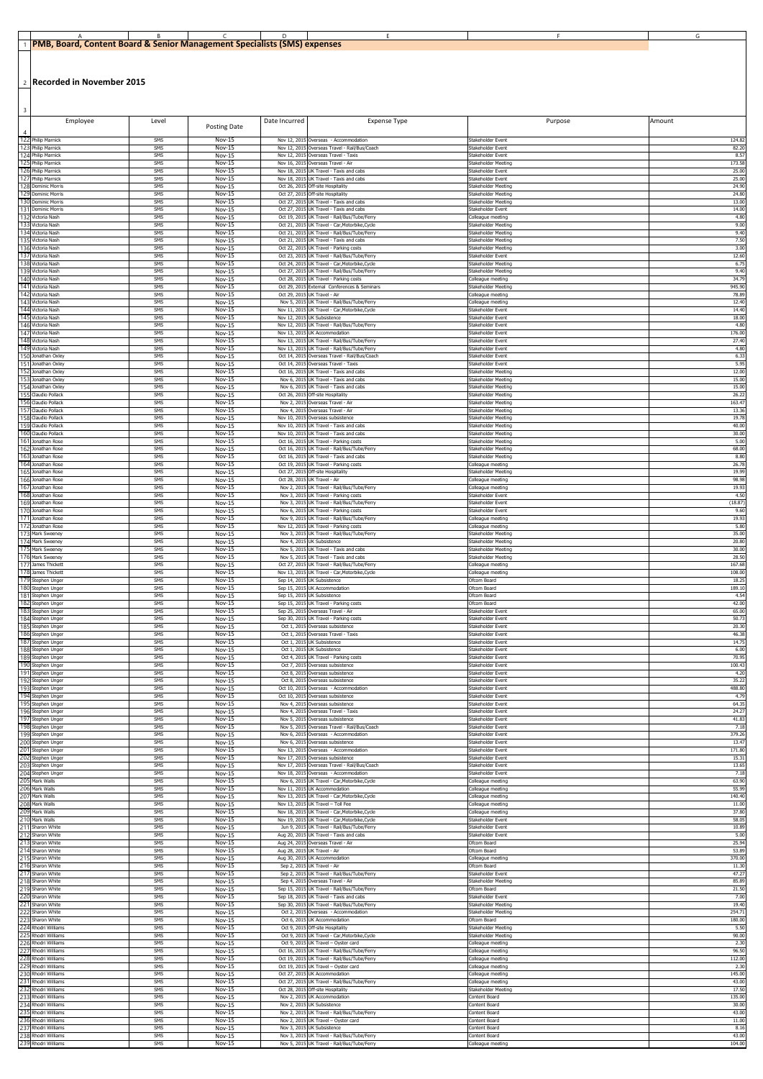| 1 PMB, Board, Content Board & Senior Management Specialists (SMS) expenses |  |  |  |
|----------------------------------------------------------------------------|--|--|--|

2 **Recorded in November 2015**

| $\overline{\mathbf{3}}$                       |            |                                |                                             |                                                                                                |                                            |                  |
|-----------------------------------------------|------------|--------------------------------|---------------------------------------------|------------------------------------------------------------------------------------------------|--------------------------------------------|------------------|
| Employee<br>$\overline{4}$                    | Level      | Posting Date                   | Date Incurred                               | Expense Type                                                                                   | Purpose                                    | Amount           |
| 122 Philip Marnick<br>123 Philip Marnick      | SMS        | Nov-15                         |                                             | Nov 12, 2015 Overseas - Accommodation                                                          | Stakeholder Event                          | 124.8            |
| 124 Philip Marnick                            | SMS<br>SMS | <b>Nov-15</b><br><b>Nov-15</b> |                                             | Nov 12, 2015 Overseas Travel - Rail/Bus/Coach<br>Nov 12, 2015 Overseas Travel - Taxis          | Stakeholder Event<br>Stakeholder Event     | 82.20<br>8.57    |
| 125 Philip Marnick                            | SMS        | <b>Nov-15</b>                  |                                             | Nov 16, 2015 Overseas Travel - Air                                                             | Stakeholder Meeting                        | 173.58           |
| 126 Philip Marnick                            | SMS        | Nov-15                         |                                             | Nov 18, 2015 UK Travel - Taxis and cabs                                                        | Stakeholder Event                          | 25.00            |
| 127 Philip Marnick                            | SMS        | <b>Nov-15</b>                  |                                             | Nov 18, 2015 UK Travel - Taxis and cabs                                                        | Stakeholder Event                          | 25.00            |
| 128 Dominic Morris                            | SMS        | Nov-15                         |                                             | Oct 26, 2015 Off-site Hospitality                                                              | Stakeholder Meeting                        | 24.90            |
| 129 Dominic Morris                            | SMS        | <b>Nov-15</b>                  | Oct 27, 2015                                | Off-site Hospitality                                                                           | Stakeholder Meeting                        | 24.80            |
| 130 Dominic Morris                            | SMS        | <b>Nov-15</b>                  | Oct 27, 2015                                | UK Travel - Taxis and cabs                                                                     | Stakeholder Meeting                        | 13.00            |
| 131 Dominic Morris<br>132 Victoria Nash       | SMS        | Nov-15                         |                                             | Oct 27, 2015 UK Travel - Taxis and cabs                                                        | Stakeholder Event                          | 14.00            |
| 133 Victoria Nash                             | SMS<br>SMS | Nov-15<br>Nov-15               |                                             | Oct 19, 2015 UK Travel - Rail/Bus/Tube/Ferry<br>Oct 21, 2015 UK Travel - Car, Motorbike, Cycle | Colleague meeting<br>Stakeholder Meeting   | 4.80<br>9.00     |
| 134 Victoria Nash                             | SMS        | <b>Nov-15</b>                  | Oct 21, 2015                                | UK Travel - Rail/Bus/Tube/Ferry                                                                | Stakeholder Meeting                        | 9.40             |
| 135 Victoria Nash                             | SMS        | <b>Nov-15</b>                  | Oct 21, 2015                                | UK Travel - Taxis and cabs                                                                     | Stakeholder Meeting                        | 7.50             |
| 136 Victoria Nash                             | SMS        | Nov-15                         | Oct 22, 2015                                | UK Travel - Parking costs                                                                      | Stakeholder Meeting                        | 3.00             |
| 137 Victoria Nash                             | SMS        | <b>Nov-15</b>                  | Oct 23, 2015                                | UK Travel - Rail/Bus/Tube/Ferry                                                                | Stakeholder Event                          | 12.60            |
| 138 Victoria Nash                             | SMS        | Nov-15                         |                                             | Oct 24, 2015 UK Travel - Car, Motorbike, Cycle                                                 | Stakeholder Meeting                        | 6.75             |
| 139 Victoria Nash                             | SMS        | Nov-15                         |                                             | Oct 27, 2015 UK Travel - Rail/Bus/Tube/Ferry                                                   | Stakeholder Meeting                        | 9.40             |
| 140 Victoria Nash                             | SMS        | <b>Nov-15</b>                  |                                             | Oct 28, 2015 UK Travel - Parking costs                                                         | Colleague meeting                          | 34.79            |
| 141 Victoria Nash                             | SMS        | Nov-15                         | Oct 29, 2015                                | External Conferences & Seminars                                                                | Stakeholder Meeting                        | 945.90           |
| 142 Victoria Nash                             | SMS        | <b>Nov-15</b>                  | Oct 29, 2015                                | UK Travel - Air                                                                                | Colleague meeting                          | 78.89            |
| 143 Victoria Nash                             | SMS        | <b>Nov-15</b>                  | Nov 5, 2015                                 | UK Travel - Rail/Bus/Tube/Ferry                                                                | Colleague meeting                          | 12.40            |
| 144 Victoria Nash                             | SMS        | <b>Nov-15</b>                  |                                             | Nov 11, 2015 UK Travel - Car, Motorbike, Cycle                                                 | Stakeholder Event                          | 14.40            |
| 145 Victoria Nash<br>146 Victoria Nash        | SMS<br>SMS | <b>Nov-15</b><br><b>Nov-15</b> | Nov 12, 2015 UK Subsistence                 | Nov 12, 2015 UK Travel - Rail/Bus/Tube/Ferry                                                   | Stakeholder Event<br>Stakeholder Event     | 18.00<br>4.80    |
| 147 Victoria Nash<br>148 Victoria Nash        | SMS        | <b>Nov-15</b>                  | Nov 13, 2015                                | UK Accommodation                                                                               | Stakeholder Event                          | 176.00           |
| 149 Victoria Nash                             | SMS        | Nov-15                         | Nov 13, 2015                                | UK Travel - Rail/Bus/Tube/Ferry                                                                | Stakeholder Event                          | 27.40            |
|                                               | SMS        | <b>Nov-15</b>                  | Nov 13, 2015                                | UK Travel - Rail/Bus/Tube/Ferry                                                                | Stakeholder Event                          | 4.80             |
| 150 Jonathan Oxley                            | SMS        | Nov-15                         |                                             | Oct 14, 2015 Overseas Travel - Rail/Bus/Coach                                                  | Stakeholder Event                          | 6.33             |
| 151 Jonathan Oxley                            | SMS        | Nov-15                         |                                             | Oct 14, 2015 Overseas Travel - Taxis                                                           | Stakeholder Event                          | 5.95             |
| 152 Jonathan Oxley                            | SMS        | Nov-15                         | Nov 6, 2015                                 | Oct 16, 2015 UK Travel - Taxis and cabs                                                        | Stakeholder Meeting                        | 12.00            |
| Jonathan Oxley                                | SMS        | Nov-15                         |                                             | UK Travel - Taxis and cabs                                                                     | Stakeholder Meeting                        | 15.00            |
| 154 Jonathan Oxley                            | SMS        | <b>Nov-15</b>                  | Nov 6, 2015                                 | UK Travel - Taxis and cabs                                                                     | Stakeholder Meeting                        | 15.00            |
| 155 Claudio Pollack                           | SMS        | Nov-15                         | Oct 26, 2015                                | Off-site Hospitality                                                                           | Stakeholder Meeting                        | 26.22            |
| 156 Claudio Pollack                           | SMS        | <b>Nov-15</b>                  |                                             | Nov 2, 2015 Overseas Travel - Air                                                              | Stakeholder Meeting                        | 163.47           |
| 157 Claudio Pollack                           | SMS        | Nov-15                         |                                             | Nov 4, 2015 Overseas Travel - Air                                                              | Stakeholder Meeting                        | 13.36            |
| 158 Claudio Pollack                           | SMS        | Nov-15                         |                                             | Nov 10, 2015 Overseas subsistence                                                              | Stakeholder Meeting                        | 19.78            |
| 159 Claudio Pollack                           | SMS        | Nov-15                         | Nov 10, 2015                                | Nov 10, 2015 UK Travel - Taxis and cabs                                                        | Stakeholder Meeting                        | 40.00            |
| 160 Claudio Pollack                           | SMS        | Nov-15                         |                                             | UK Travel - Taxis and cabs                                                                     | Stakeholder Meeting                        | 30.00            |
| 161<br>Jonathan Rose<br>162 Jonathan Rose     | SMS<br>SMS | <b>Nov-15</b><br>Nov-15        | Oct 16, 2015                                | UK Travel - Parking costs<br>Oct 16, 2015 UK Travel - Rail/Bus/Tube/Ferry                      | Stakeholder Meeting<br>Stakeholder Meeting | 5.00<br>68.00    |
| 163 Jonathan Rose                             | SMS        | Nov-15                         |                                             | Oct 16, 2015 UK Travel - Taxis and cabs                                                        | Stakeholder Meeting                        | 8.80             |
| 164 Jonathan Rose                             | SMS        | Nov-15                         |                                             | Oct 19, 2015 UK Travel - Parking costs                                                         | Colleague meeting                          | 26.78            |
| 165<br>Jonathan Rose                          | SMS        | Nov-15                         |                                             | Oct 27, 2015 Off-site Hospitality                                                              | Stakeholder Meeting                        | 19.99            |
| 166 Jonathan Rose<br>167<br>Jonathan Rose     | SMS<br>SMS | Nov-15<br>Nov-15               | Oct 28, 2015 UK Travel - Air<br>Nov 2, 2015 | UK Travel - Rail/Bus/Tube/Ferry                                                                | Colleague meeting<br>Colleague meeting     | 98.98<br>19.93   |
| 168 Jonathan Rose                             | SMS        | Nov-15                         |                                             | Nov 3, 2015 UK Travel - Parking costs                                                          | Stakeholder Event                          | 4.50             |
| 169 Jonathan Rose                             | SMS        | Nov-15                         |                                             | Nov 3, 2015 UK Travel - Rail/Bus/Tube/Ferry                                                    | Stakeholder Event                          | (18.87)          |
| 170 Jonathan Rose                             | SMS        | Nov-15                         |                                             | Nov 6, 2015 UK Travel - Parking costs                                                          | Stakeholder Event                          | 9.60             |
| 171 Jonathan Rose                             | SMS        | <b>Nov-15</b>                  |                                             | Nov 9, 2015 UK Travel - Rail/Bus/Tube/Ferry                                                    | Colleague meeting                          | 19.93            |
| 172 Jonathan Rose<br>173<br>Mark Sweeney      | SMS<br>SMS | Nov-15<br><b>Nov-15</b>        | Nov 3, 2015                                 | Nov 12, 2015 UK Travel - Parking costs<br>UK Travel - Rail/Bus/Tube/Ferry                      | Colleague meeting<br>Stakeholder Meeting   | 5.80<br>35.00    |
| 174 Mark Sweeney<br>175 Mark Sweeney          | SMS        | Nov-15                         | Nov 4, 2015                                 | <b>UK Subsistence</b>                                                                          | Stakeholder Meeting                        | 20.80            |
| 176 Mark Sweeney                              | SMS        | <b>Nov-15</b>                  |                                             | Nov 5, 2015 UK Travel - Taxis and cabs                                                         | Stakeholder Meeting                        | 30.00            |
| 177                                           | SMS        | Nov-15                         |                                             | Nov 5, 2015 UK Travel - Taxis and cabs                                                         | Stakeholder Meeting                        | 28.50            |
|                                               |            |                                |                                             | Oct 27, 2015 UK Travel - Rail/Bus/Tube/Ferry                                                   |                                            |                  |
| James Thickett<br>178 James Thickett          | SMS<br>SMS | Nov-15<br><b>Nov-15</b>        |                                             | Nov 13, 2015 UK Travel - Car, Motorbike, Cycle                                                 | Colleague meeting<br>Colleague meeting     | 167.68<br>108.00 |
| 179 Stephen Unger                             | SMS        | Nov-15                         | Sep 14, 201                                 | UK Subsistence                                                                                 | Ofcom Board                                | 18.2             |
| 180 Stephen Unger                             | SMS        | <b>Nov-15</b>                  | Sep 15, 2015                                | UK Accommodation                                                                               | Ofcom Board                                | 189.1            |
| 181 Stephen Unger                             | SMS<br>SMS | Nov-15<br>Nov-15               | Sep 15, 2015 UK Subsistence                 |                                                                                                | Ofcom Board<br>Ofcom Board                 | 4.54<br>42.00    |
| 182 Stephen Unger<br>183 Stephen Unger        | SMS        | Nov-15                         |                                             | Sep 15, 2015 UK Travel - Parking costs<br>Sep 25, 2015 Overseas Travel - Air                   | Stakeholder Event                          | 65.00            |
| 184 Stephen Unger                             | SMS        | Nov-15                         | Oct 1, 2015                                 | Sep 30, 2015 UK Travel - Parking costs                                                         | Stakeholder Event                          | 50.73            |
| 185 Stephen Unger                             | SMS        | Nov-15                         |                                             | Overseas subsistence                                                                           | Stakeholder Event                          | 20.30            |
| 186 Stephen Unger                             | SMS        | Nov-15                         | Oct 1, 2015                                 | Overseas Travel - Taxis                                                                        | Stakeholder Event                          | 46.38            |
| 187 Stephen Unger                             | SMS        | <b>Nov-15</b>                  | Oct 1, 2015                                 | <b>UK Subsistence</b>                                                                          | Stakeholder Event                          | 14.75            |
| 188 Stephen Unger<br>189 Stephen Unger        | SMS<br>SMS | Nov-15<br>Nov-15               | Oct 1, 2015 UK Subsistence                  | Oct 4, 2015 UK Travel - Parking costs                                                          | Stakeholder Event<br>Stakeholder Event     | 6.00<br>70.95    |
| 190 Stephen Unger                             | SMS        | <b>Nov-15</b>                  | Oct 8, 2015                                 | Oct 7, 2015 Overseas subsistence                                                               | Stakeholder Event                          | 100.43           |
| 191 Stephen Unger                             | SMS        | Nov-15                         |                                             | Overseas subsistence                                                                           | Stakeholder Event                          | 4.20             |
| 192 Stephen Unger                             | SMS        | Nov-15                         | Oct 8, 2015                                 | Overseas subsistence                                                                           | Stakeholder Event                          | 35.22            |
|                                               | SMS        | <b>Nov-15</b>                  | Oct 10, 2015                                | Overseas - Accommodation                                                                       | Stakeholder Event                          | 488.80           |
| 193 Stephen Unger<br>194 Stephen Unger        | SMS        | <b>Nov-15</b>                  |                                             | Oct 10, 2015 Overseas subsistence                                                              | Stakeholder Event                          | 4.79             |
| 195 Stephen Unger                             | SMS        | Nov-15                         |                                             | Nov 4, 2015 Overseas subsistence                                                               | Stakeholder Event                          | 64.35            |
| 196 Stephen Unger                             | SMS        | Nov-15                         |                                             | Nov 4, 2015 Overseas Travel - Taxis                                                            | Stakeholder Event                          | 24.27            |
| 197 Stephen Unger                             | SMS        | <b>Nov-15</b>                  | Nov 5, 2015                                 | Nov 5, 2015 Overseas subsistence                                                               | Stakeholder Event                          | 41.83            |
| 198 Stephen Unger                             | SMS        | Nov-15                         |                                             | Overseas Travel - Rail/Bus/Coach                                                               | Stakeholder Event                          | 7.18             |
| 199 Stephen Unger                             | SMS        | <b>Nov-15</b>                  | Nov 6, 2015                                 | Overseas - Accommodation                                                                       | Stakeholder Event                          | 379.26           |
| 200 Stephen Unger                             | SMS        | Nov-15                         |                                             | Nov 6, 2015 Overseas subsistence                                                               | Stakeholder Event                          | 13.4             |
| 201 Stephen Unger                             | SMS        | Nov-15                         |                                             | Nov 13, 2015 Overseas - Accommodation                                                          | Stakeholder Event                          | 171.80           |
| 202 Stephen Unger                             | SMS        | Nov-15                         |                                             | Nov 17, 2015 Overseas subsistence                                                              | Stakeholder Event                          | 15.3             |
| 203 Stephen Unger                             | SMS        | Nov-15                         | Nov 17, 2015                                | Overseas Travel - Rail/Bus/Coach                                                               | Stakeholder Event                          | 13.65            |
| 204 Stephen Unger                             | SMS        | Nov-15                         | Nov 18, 2015                                | Overseas - Accommodation                                                                       | Stakeholder Event                          | 7.18             |
| 205<br>Mark Walls<br>206 Mark Walls           | SMS<br>SMS | Nov-15<br><b>Nov-15</b>        | Nov 6, 201<br>Nov 11, 2015                  | UK Travel - Car, Motorbike, Cycle<br>UK Accommodation                                          | Colleague meeting<br>Colleague meeting     | 63.90<br>55.99   |
| Mark Walls                                    | SMS        | Nov-15                         |                                             | Nov 13, 2015 UK Travel - Car, Motorbike, Cycle                                                 | Colleague meeting                          | 140.40           |
| Mark Walls                                    | SMS        | Nov-15                         |                                             | Nov 13, 2015 UK Travel - Toll Fee                                                              | Colleague meeting                          | 11.00            |
| Mark Walls                                    | SMS        | <b>Nov-15</b>                  |                                             | Nov 18, 2015 UK Travel - Car, Motorbike, Cycle                                                 | Colleague meeting                          | 37.80            |
| Mark Walls<br>21 <sup>1</sup><br>Sharon White | SMS<br>SMS | Nov-15<br><b>Nov-15</b>        | Nov 19, 2015<br>Jun 9, 2015                 | UK Travel - Car, Motorbike, Cycle<br>UK Travel - Rail/Bus/Tube/Ferry                           | Stakeholder Event<br>Stakeholder Event     | 58.05<br>10.89   |
| 212 Sharon White                              | SMS        | Nov-15                         |                                             | Aug 20, 2015 UK Travel - Taxis and cabs                                                        | Stakeholder Event                          | 5.00             |
| 213 Sharon White                              | SMS        | <b>Nov-15</b>                  |                                             | Aug 24, 2015 Overseas Travel - Air                                                             | Ofcom Board                                | 25.94            |
| 214 Sharon White<br>215 Sharon White          | SMS<br>SMS | Nov-15<br>Nov-15               | Aug 28, 2015 UK Travel - Air                | Aug 30, 2015 UK Accommodation                                                                  | Ofcom Board<br>Colleague meeting           | 53.89<br>370.00  |
| 216 Sharon White                              | SMS        | <b>Nov-15</b>                  | Sep 2, 2015 UK Travel - Air                 | UK Travel - Rail/Bus/Tube/Ferry                                                                | Ofcom Board                                | 11.30            |
| Sharon White                                  | SMS        | Nov-15                         | Sep 2, 2015                                 |                                                                                                | Stakeholder Event                          | 47.27            |
| 217<br>218 Sharon White                       | SMS        | <b>Nov-15</b>                  |                                             | Sep 4, 2015 Overseas Travel - Air                                                              | Stakeholder Meeting                        | 85.89            |
| 219 Sharon White                              | SMS        | Nov-15                         |                                             | Sep 15, 2015 UK Travel - Rail/Bus/Tube/Ferry                                                   | Ofcom Board                                | 21.50            |
| 220 Sharon White                              | SMS        | Nov-15                         |                                             | Sep 18, 2015 UK Travel - Taxis and cabs                                                        | Stakeholder Event                          | 7.00             |
| 221 Sharon White                              | SMS<br>SMS | <b>Nov-15</b><br>Nov-15        |                                             | Sep 30, 2015 UK Travel - Rail/Bus/Tube/Ferry<br>Oct 2, 2015 Overseas - Accommodation           | Stakeholder Meeting<br>Stakeholder Meeting | 19.40<br>254.71  |
| 222 Sharon White<br>223 Sharon White          | SMS        | Nov-15                         |                                             | Oct 6, 2015 UK Accommodation                                                                   | Ofcom Board                                | 180.00           |
| 224 Rhodri Williams                           | SMS        | Nov-15                         |                                             | Oct 9, 2015 Off-site Hospitality                                                               | Stakeholder Meeting                        | 5.50             |
| 225 Rhodri Williams                           | SMS        | <b>Nov-15</b>                  |                                             | Oct 9, 2015 UK Travel - Car, Motorbike, Cycle                                                  | <b>Stakeholder Meeting</b>                 | 90.00            |
| 226 Rhodri Williams                           | SMS        | Nov-15                         |                                             | Oct 9, 2015 UK Travel - Oyster card                                                            | Colleague meeting                          | 2.30             |
| 227 Rhodri Williams                           | SMS<br>SMS | Nov-15                         |                                             | Oct 16, 2015 UK Travel - Rail/Bus/Tube/Ferry<br>Oct 19, 2015 UK Travel - Rail/Bus/Tube/Ferry   | Colleague meeting<br>Colleague meeting     | 96.50<br>112.00  |
| 228 Rhodri Williams<br>229 Rhodri Williams    | SMS        | <b>Nov-15</b><br><b>Nov-15</b> |                                             | Oct 19, 2015 UK Travel - Oyster card                                                           | Colleague meeting                          | 2.30             |
| 230 Rhodri Williams                           | SMS        | <b>Nov-15</b>                  | Oct 27, 2015                                | UK Accommodation                                                                               | Colleague meeting                          | 145.00           |
| 231 Rhodri Williams                           | SMS        | Nov-15                         |                                             | Oct 27, 2015 UK Travel - Rail/Bus/Tube/Ferry                                                   | Colleague meeting                          | 43.00            |
| 232 Rhodri Williams                           | SMS        | <b>Nov-15</b>                  |                                             | Oct 28, 2015 Off-site Hospitality                                                              | Stakeholder Meeting                        | 17.50            |
| 233 Rhodri Williams                           | SMS        | <b>Nov-15</b>                  |                                             | Nov 2, 2015 UK Accommodation                                                                   | Content Board                              | 135.00           |
| 234 Rhodri Williams<br>235 Rhodri Williams    | SMS<br>SMS | Nov-15<br><b>Nov-15</b>        | Nov 2, 2015 UK Subsistence                  | Nov 2, 2015 UK Travel - Rail/Bus/Tube/Ferry                                                    | Content Board<br>Content Board             | 30.00<br>43.00   |
| 236 Rhodri Williams<br>237 Rhodri Williams    | SMS<br>SMS | Nov-15<br><b>Nov-15</b>        | Nov 3, 2015 UK Subsistence                  | Nov 2, 2015 UK Travel - Oyster card                                                            | Content Board<br>Content Board             | 11.00<br>8.16    |